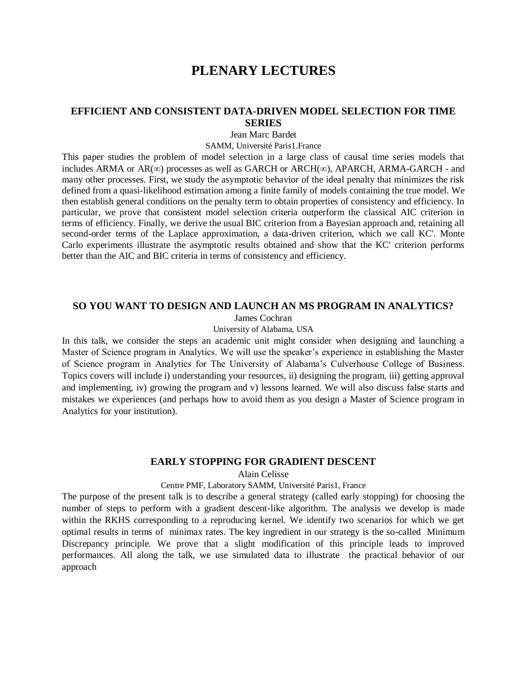# **PLENARY LECTURES**

#### **EFFICIENT AND CONSISTENT DATA-DRIVEN MODEL SELECTION FOR TIME SERIES**

Jean Marc Bardet

SAMM, Université Paris1.France

This paper studies the problem of model selection in a large class of causal time series models that includes ARMA or  $AR(\infty)$  processes as well as GARCH or ARCH( $\infty$ ), APARCH, ARMA-GARCH - and many other processes. First, we study the asymptotic behavior of the ideal penalty that minimizes the risk defined from a quasi-likelihood estimation among a finite family of models containing the true model. We then establish general conditions on the penalty term to obtain properties of consistency and efficiency. In particular, we prove that consistent model selection criteria outperform the classical AIC criterion in terms of efficiency. Finally, we derive the usual BIC criterion from a Bayesian approach and, retaining all second-order terms of the Laplace approximation, a data-driven criterion, which we call KC'. Monte Carlo experiments illustrate the asymptotic results obtained and show that the KC' criterion performs better than the AIC and BIC criteria in terms of consistency and efficiency.

#### **SO YOU WANT TO DESIGN AND LAUNCH AN MS PROGRAM IN ANALYTICS?**

James Cochran

University of Alabama, USA

In this talk, we consider the steps an academic unit might consider when designing and launching a Master of Science program in Analytics. We will use the speaker's experience in establishing the Master of Science program in Analytics for The University of Alabama's Culverhouse College of Business. Topics covers will include i) understanding your resources, ii) designing the program, iii) getting approval and implementing, iv) growing the program and v) lessons learned. We will also discuss false starts and mistakes we experiences (and perhaps how to avoid them as you design a Master of Science program in Analytics for your institution).

#### **EARLY STOPPING FOR GRADIENT DESCENT**

Alain Celisse

#### Centre PMF, Laboratory SAMM, Université Paris1, France

The purpose of the present talk is to describe a general strategy (called early stopping) for choosing the number of steps to perform with a gradient descent-like algorithm. The analysis we develop is made within the RKHS corresponding to a reproducing kernel. We identify two scenarios for which we get optimal results in terms of minimax rates. The key ingredient in our strategy is the so-called Minimum Discrepancy principle. We prove that a slight modification of this principle leads to improved performances. All along the talk, we use simulated data to illustrate the practical behavior of our approach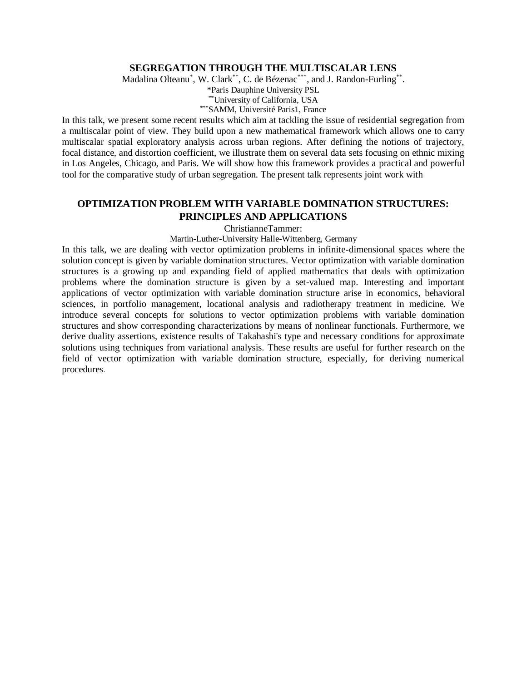#### **SEGREGATION THROUGH THE MULTISCALAR LENS**

Madalina Olteanu<sup>\*</sup>, W. Clark<sup>\*\*</sup>, C. de Bézenac<sup>\*\*\*</sup>, and J. Randon-Furling<sup>\*\*</sup>.

\*Paris Dauphine University PSL \*\*University of California, USA

\*\*\*SAMM, Université Paris1, France

In this talk, we present some recent results which aim at tackling the issue of residential segregation from a multiscalar point of view. They build upon a new mathematical framework which allows one to carry multiscalar spatial exploratory analysis across urban regions. After defining the notions of trajectory, focal distance, and distortion coefficient, we illustrate them on several data sets focusing on ethnic mixing in Los Angeles, Chicago, and Paris. We will show how this framework provides a practical and powerful tool for the comparative study of urban segregation. The present talk represents joint work with

## **OPTIMIZATION PROBLEM WITH VARIABLE DOMINATION STRUCTURES: PRINCIPLES AND APPLICATIONS**

ChristianneTammer:

Martin-Luther-University Halle-Wittenberg, Germany

In this talk, we are dealing with vector optimization problems in infinite-dimensional spaces where the solution concept is given by variable domination structures. Vector optimization with variable domination structures is a growing up and expanding field of applied mathematics that deals with optimization problems where the domination structure is given by a set-valued map. Interesting and important applications of vector optimization with variable domination structure arise in economics, behavioral sciences, in portfolio management, locational analysis and radiotherapy treatment in medicine. We introduce several concepts for solutions to vector optimization problems with variable domination structures and show corresponding characterizations by means of nonlinear functionals. Furthermore, we derive duality assertions, existence results of Takahashi's type and necessary conditions for approximate solutions using techniques from variational analysis. These results are useful for further research on the field of vector optimization with variable domination structure, especially, for deriving numerical procedures.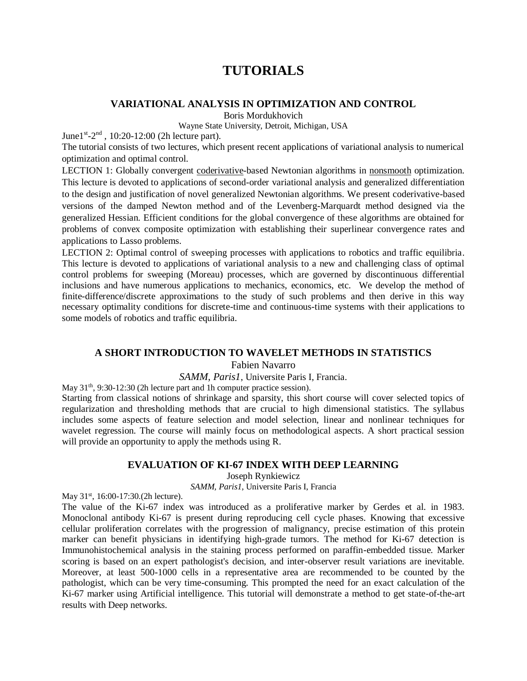# **TUTORIALS**

#### **VARIATIONAL ANALYSIS IN OPTIMIZATION AND CONTROL**

Boris Mordukhovich

Wayne State University, Detroit, Michigan, USA

June1<sup>st</sup>-2<sup>nd</sup>, 10:20-12:00 (2h lecture part).

The tutorial consists of two lectures, which present recent applications of variational analysis to numerical optimization and optimal control.

LECTION 1: Globally convergent coderivative-based Newtonian algorithms in nonsmooth optimization. This lecture is devoted to applications of second-order variational analysis and generalized differentiation to the design and justification of novel generalized Newtonian algorithms. We present coderivative-based versions of the damped Newton method and of the Levenberg-Marquardt method designed via the generalized Hessian. Efficient conditions for the global convergence of these algorithms are obtained for problems of convex composite optimization with establishing their superlinear convergence rates and applications to Lasso problems.

LECTION 2: Optimal control of sweeping processes with applications to robotics and traffic equilibria. This lecture is devoted to applications of variational analysis to a new and challenging class of optimal control problems for sweeping (Moreau) processes, which are governed by discontinuous differential inclusions and have numerous applications to mechanics, economics, etc. We develop the method of finite-difference/discrete approximations to the study of such problems and then derive in this way necessary optimality conditions for discrete-time and continuous-time systems with their applications to some models of robotics and traffic equilibria.

#### **A SHORT INTRODUCTION TO WAVELET METHODS IN STATISTICS**

Fabien Navarro

*SAMM, Paris1*, Universite Paris I, Francia.

May  $31<sup>th</sup>$ , 9:30-12:30 (2h lecture part and 1h computer practice session).

Starting from classical notions of shrinkage and sparsity, this short course will cover selected topics of regularization and thresholding methods that are crucial to high dimensional statistics. The syllabus includes some aspects of feature selection and model selection, linear and nonlinear techniques for wavelet regression. The course will mainly focus on methodological aspects. A short practical session will provide an opportunity to apply the methods using R*.*

#### **EVALUATION OF KI-67 INDEX WITH DEEP LEARNING**

Joseph Rynkiewicz

*SAMM, Paris1*, Universite Paris I, Francia

May 31<sup>st</sup>, 16:00-17:30.(2h lecture).

The value of the Ki-67 index was introduced as a proliferative marker by Gerdes et al. in 1983. Monoclonal antibody Ki-67 is present during reproducing cell cycle phases. Knowing that excessive cellular proliferation correlates with the progression of malignancy, precise estimation of this protein marker can benefit physicians in identifying high-grade tumors. The method for Ki-67 detection is Immunohistochemical analysis in the staining process performed on paraffin-embedded tissue. Marker scoring is based on an expert pathologist's decision, and inter-observer result variations are inevitable. Moreover, at least 500-1000 cells in a representative area are recommended to be counted by the pathologist, which can be very time-consuming. This prompted the need for an exact calculation of the Ki-67 marker using Artificial intelligence. This tutorial will demonstrate a method to get state-of-the-art results with Deep networks.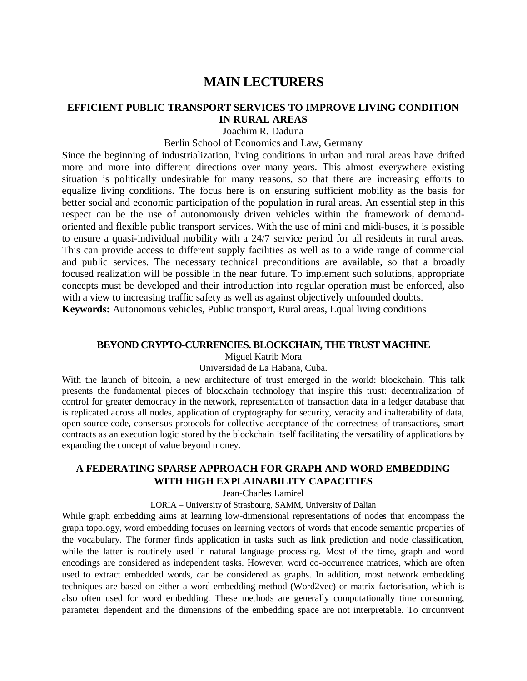# **MAIN LECTURERS**

#### **EFFICIENT PUBLIC TRANSPORT SERVICES TO IMPROVE LIVING CONDITION IN RURAL AREAS**

Joachim R. Daduna

Berlin School of Economics and Law, Germany

Since the beginning of industrialization, living conditions in urban and rural areas have drifted more and more into different directions over many years. This almost everywhere existing situation is politically undesirable for many reasons, so that there are increasing efforts to equalize living conditions. The focus here is on ensuring sufficient mobility as the basis for better social and economic participation of the population in rural areas. An essential step in this respect can be the use of autonomously driven vehicles within the framework of demandoriented and flexible public transport services. With the use of mini and midi-buses, it is possible to ensure a quasi-individual mobility with a 24/7 service period for all residents in rural areas. This can provide access to different supply facilities as well as to a wide range of commercial and public services. The necessary technical preconditions are available, so that a broadly focused realization will be possible in the near future. To implement such solutions, appropriate concepts must be developed and their introduction into regular operation must be enforced, also with a view to increasing traffic safety as well as against objectively unfounded doubts. **Keywords:** Autonomous vehicles, Public transport, Rural areas, Equal living conditions

#### **BEYOND CRYPTO-CURRENCIES. BLOCKCHAIN, THE TRUST MACHINE**

Miguel Katrib Mora

Universidad de La Habana, Cuba.

With the launch of bitcoin, a new architecture of trust emerged in the world: blockchain. This talk presents the fundamental pieces of blockchain technology that inspire this trust: decentralization of control for greater democracy in the network, representation of transaction data in a ledger database that is replicated across all nodes, application of cryptography for security, veracity and inalterability of data, open source code, consensus protocols for collective acceptance of the correctness of transactions, smart contracts as an execution logic stored by the blockchain itself facilitating the versatility of applications by expanding the concept of value beyond money.

## **A FEDERATING SPARSE APPROACH FOR GRAPH AND WORD EMBEDDING WITH HIGH EXPLAINABILITY CAPACITIES**

Jean-Charles Lamirel

LORIA – University of Strasbourg, SAMM, University of Dalian

While graph embedding aims at learning low-dimensional representations of nodes that encompass the graph topology, word embedding focuses on learning vectors of words that encode semantic properties of the vocabulary. The former finds application in tasks such as link prediction and node classification, while the latter is routinely used in natural language processing. Most of the time, graph and word encodings are considered as independent tasks. However, word co-occurrence matrices, which are often used to extract embedded words, can be considered as graphs. In addition, most network embedding techniques are based on either a word embedding method (Word2vec) or matrix factorisation, which is also often used for word embedding. These methods are generally computationally time consuming, parameter dependent and the dimensions of the embedding space are not interpretable. To circumvent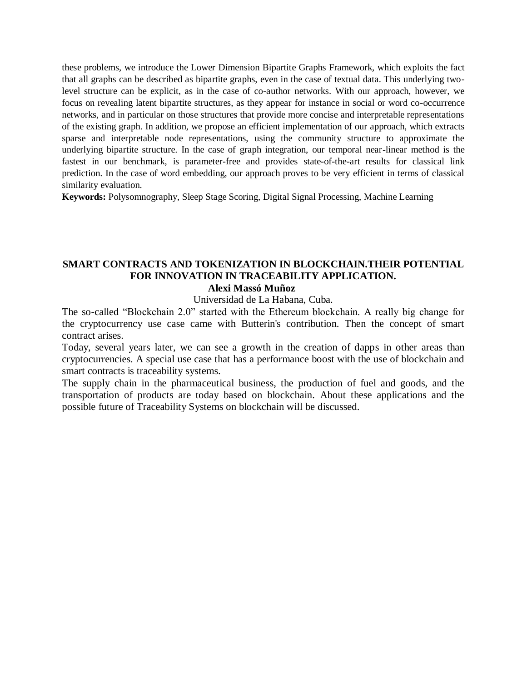these problems, we introduce the Lower Dimension Bipartite Graphs Framework, which exploits the fact that all graphs can be described as bipartite graphs, even in the case of textual data. This underlying twolevel structure can be explicit, as in the case of co-author networks. With our approach, however, we focus on revealing latent bipartite structures, as they appear for instance in social or word co-occurrence networks, and in particular on those structures that provide more concise and interpretable representations of the existing graph. In addition, we propose an efficient implementation of our approach, which extracts sparse and interpretable node representations, using the community structure to approximate the underlying bipartite structure. In the case of graph integration, our temporal near-linear method is the fastest in our benchmark, is parameter-free and provides state-of-the-art results for classical link prediction. In the case of word embedding, our approach proves to be very efficient in terms of classical similarity evaluation.

**Keywords:** Polysomnography, Sleep Stage Scoring, Digital Signal Processing, Machine Learning

#### **SMART CONTRACTS AND TOKENIZATION IN BLOCKCHAIN.THEIR POTENTIAL FOR INNOVATION IN TRACEABILITY APPLICATION. Alexi Massó Muñoz**

# Universidad de La Habana, Cuba.

The so-called "Blockchain 2.0" started with the Ethereum blockchain. A really big change for the cryptocurrency use case came with Butterin's contribution. Then the concept of smart contract arises.

Today, several years later, we can see a growth in the creation of dapps in other areas than cryptocurrencies. A special use case that has a performance boost with the use of blockchain and smart contracts is traceability systems.

The supply chain in the pharmaceutical business, the production of fuel and goods, and the transportation of products are today based on blockchain. About these applications and the possible future of Traceability Systems on blockchain will be discussed.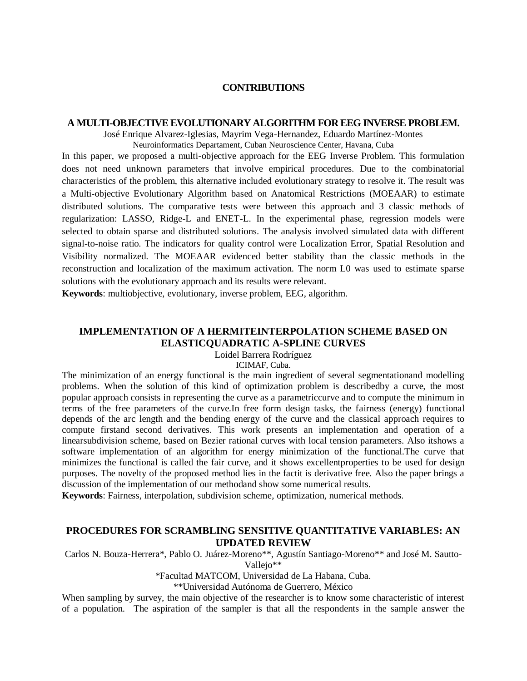#### **CONTRIBUTIONS**

#### **A MULTI-OBJECTIVE EVOLUTIONARY ALGORITHM FOR EEG INVERSE PROBLEM.**

José Enrique Alvarez-Iglesias, Mayrim Vega-Hernandez, Eduardo Martínez-Montes

Neuroinformatics Departament, Cuban Neuroscience Center, Havana, Cuba

In this paper, we proposed a multi-objective approach for the EEG Inverse Problem. This formulation does not need unknown parameters that involve empirical procedures. Due to the combinatorial characteristics of the problem, this alternative included evolutionary strategy to resolve it. The result was a Multi-objective Evolutionary Algorithm based on Anatomical Restrictions (MOEAAR) to estimate distributed solutions. The comparative tests were between this approach and 3 classic methods of regularization: LASSO, Ridge-L and ENET-L. In the experimental phase, regression models were selected to obtain sparse and distributed solutions. The analysis involved simulated data with different signal-to-noise ratio. The indicators for quality control were Localization Error, Spatial Resolution and Visibility normalized. The MOEAAR evidenced better stability than the classic methods in the reconstruction and localization of the maximum activation. The norm L0 was used to estimate sparse solutions with the evolutionary approach and its results were relevant.

**Keywords**: multiobjective, evolutionary, inverse problem, EEG, algorithm.

## **IMPLEMENTATION OF A HERMITEINTERPOLATION SCHEME BASED ON ELASTICQUADRATIC A-SPLINE CURVES**

Loidel Barrera Rodríguez

ICIMAF, Cuba.

The minimization of an energy functional is the main ingredient of several segmentationand modelling problems. When the solution of this kind of optimization problem is describedby a curve, the most popular approach consists in representing the curve as a parametriccurve and to compute the minimum in terms of the free parameters of the curve.In free form design tasks, the fairness (energy) functional depends of the arc length and the bending energy of the curve and the classical approach requires to compute firstand second derivatives. This work presents an implementation and operation of a linearsubdivision scheme, based on Bezier rational curves with local tension parameters. Also itshows a software implementation of an algorithm for energy minimization of the functional.The curve that minimizes the functional is called the fair curve, and it shows excellentproperties to be used for design purposes. The novelty of the proposed method lies in the factit is derivative free. Also the paper brings a discussion of the implementation of our methodand show some numerical results.

**Keywords**: Fairness, interpolation, subdivision scheme, optimization, numerical methods.

#### **PROCEDURES FOR SCRAMBLING SENSITIVE QUANTITATIVE VARIABLES: AN UPDATED REVIEW**

Carlos N. Bouza-Herrera\*, Pablo O. Juárez-Moreno\*\*, Agustín Santiago-Moreno\*\* and José M. Sautto-Vallejo\*\*

\*Facultad MATCOM, Universidad de La Habana, Cuba.

\*\*Universidad Autónoma de Guerrero, México

When sampling by survey, the main objective of the researcher is to know some characteristic of interest of a population. The aspiration of the sampler is that all the respondents in the sample answer the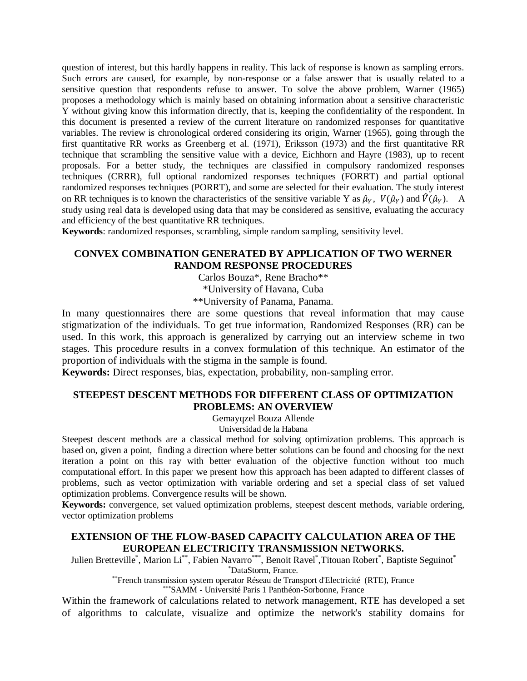question of interest, but this hardly happens in reality. This lack of response is known as sampling errors. Such errors are caused, for example, by non-response or a false answer that is usually related to a sensitive question that respondents refuse to answer. To solve the above problem, Warner (1965) proposes a methodology which is mainly based on obtaining information about a sensitive characteristic Y without giving know this information directly, that is, keeping the confidentiality of the respondent. In this document is presented a review of the current literature on randomized responses for quantitative variables. The review is chronological ordered considering its origin, Warner (1965), going through the first quantitative RR works as Greenberg et al. (1971), Eriksson (1973) and the first quantitative RR technique that scrambling the sensitive value with a device, Eichhorn and Hayre (1983), up to recent proposals. For a better study, the techniques are classified in compulsory randomized responses techniques (CRRR), full optional randomized responses techniques (FORRT) and partial optional randomized responses techniques (PORRT), and some are selected for their evaluation. The study interest on RR techniques is to known the characteristics of the sensitive variable Y as  $\hat{\mu}_Y$ ,  $V(\hat{\mu}_Y)$  and  $\hat{V}(\hat{\mu}_Y)$ . A study using real data is developed using data that may be considered as sensitive, evaluating the accuracy and efficiency of the best quantitative RR techniques.

**Keywords**: randomized responses, scrambling, simple random sampling, sensitivity level.

## **CONVEX COMBINATION GENERATED BY APPLICATION OF TWO WERNER RANDOM RESPONSE PROCEDURES**

Carlos Bouza\*, Rene Bracho\*\*

\*University of Havana, Cuba

\*\*University of Panama, Panama.

In many questionnaires there are some questions that reveal information that may cause stigmatization of the individuals. To get true information, Randomized Responses (RR) can be used. In this work, this approach is generalized by carrying out an interview scheme in two stages. This procedure results in a convex formulation of this technique. An estimator of the proportion of individuals with the stigma in the sample is found.

**Keywords:** Direct responses, bias, expectation, probability, non-sampling error.

## **STEEPEST DESCENT METHODS FOR DIFFERENT CLASS OF OPTIMIZATION PROBLEMS: AN OVERVIEW**

Gemayqzel Bouza Allende

Universidad de la Habana

Steepest descent methods are a classical method for solving optimization problems. This approach is based on, given a point, finding a direction where better solutions can be found and choosing for the next iteration a point on this ray with better evaluation of the objective function without too much computational effort. In this paper we present how this approach has been adapted to different classes of problems, such as vector optimization with variable ordering and set a special class of set valued optimization problems. Convergence results will be shown.

**Keywords:** convergence, set valued optimization problems, steepest descent methods, variable ordering, vector optimization problems

## **EXTENSION OF THE FLOW-BASED CAPACITY CALCULATION AREA OF THE EUROPEAN ELECTRICITY TRANSMISSION NETWORKS.**

Julien Bretteville\*, Marion Li\*\*, Fabien Navarro\*\*\*, Benoit Ravel\*, Titouan Robert\*, Baptiste Seguinot\* \*DataStorm, France.

\*\*French transmission system operator Réseau de Transport d'Electricité (RTE), France

\*\*\*SAMM - Université Paris 1 Panthéon-Sorbonne, France

Within the framework of calculations related to network management, RTE has developed a set of algorithms to calculate, visualize and optimize the network's stability domains for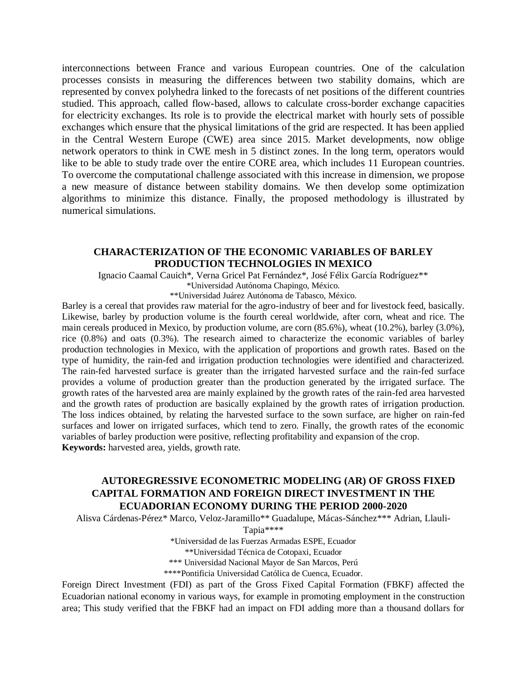interconnections between France and various European countries. One of the calculation processes consists in measuring the differences between two stability domains, which are represented by convex polyhedra linked to the forecasts of net positions of the different countries studied. This approach, called flow-based, allows to calculate cross-border exchange capacities for electricity exchanges. Its role is to provide the electrical market with hourly sets of possible exchanges which ensure that the physical limitations of the grid are respected. It has been applied in the Central Western Europe (CWE) area since 2015. Market developments, now oblige network operators to think in CWE mesh in 5 distinct zones. In the long term, operators would like to be able to study trade over the entire CORE area, which includes 11 European countries. To overcome the computational challenge associated with this increase in dimension, we propose a new measure of distance between stability domains. We then develop some optimization algorithms to minimize this distance. Finally, the proposed methodology is illustrated by numerical simulations.

## **CHARACTERIZATION OF THE ECONOMIC VARIABLES OF BARLEY PRODUCTION TECHNOLOGIES IN MEXICO**

Ignacio Caamal Cauich\*, Verna Gricel Pat Fernández\*, José Félix García Rodríguez\*\* \*Universidad Autónoma Chapingo, México.

\*\*Universidad Juárez Autónoma de Tabasco, México.

Barley is a cereal that provides raw material for the agro-industry of beer and for livestock feed, basically. Likewise, barley by production volume is the fourth cereal worldwide, after corn, wheat and rice. The main cereals produced in Mexico, by production volume, are corn (85.6%), wheat (10.2%), barley (3.0%), rice (0.8%) and oats (0.3%). The research aimed to characterize the economic variables of barley production technologies in Mexico, with the application of proportions and growth rates. Based on the type of humidity, the rain-fed and irrigation production technologies were identified and characterized. The rain-fed harvested surface is greater than the irrigated harvested surface and the rain-fed surface provides a volume of production greater than the production generated by the irrigated surface. The growth rates of the harvested area are mainly explained by the growth rates of the rain-fed area harvested and the growth rates of production are basically explained by the growth rates of irrigation production. The loss indices obtained, by relating the harvested surface to the sown surface, are higher on rain-fed surfaces and lower on irrigated surfaces, which tend to zero. Finally, the growth rates of the economic variables of barley production were positive, reflecting profitability and expansion of the crop. **Keywords:** harvested area, yields, growth rate.

## **AUTOREGRESSIVE ECONOMETRIC MODELING (AR) OF GROSS FIXED CAPITAL FORMATION AND FOREIGN DIRECT INVESTMENT IN THE ECUADORIAN ECONOMY DURING THE PERIOD 2000-2020**

Alisva Cárdenas-Pérez\* Marco, Veloz-Jaramillo\*\* Guadalupe, Mácas-Sánchez\*\*\* Adrian, Llauli-

Tapia\*\*\*\*

\*Universidad de las Fuerzas Armadas ESPE, Ecuador

\*\*Universidad Técnica de Cotopaxi, Ecuador

\*\*\* Universidad Nacional Mayor de San Marcos, Perú

\*\*\*\*Pontificia Universidad Católica de Cuenca, Ecuador.

Foreign Direct Investment (FDI) as part of the Gross Fixed Capital Formation (FBKF) affected the Ecuadorian national economy in various ways, for example in promoting employment in the construction area; This study verified that the FBKF had an impact on FDI adding more than a thousand dollars for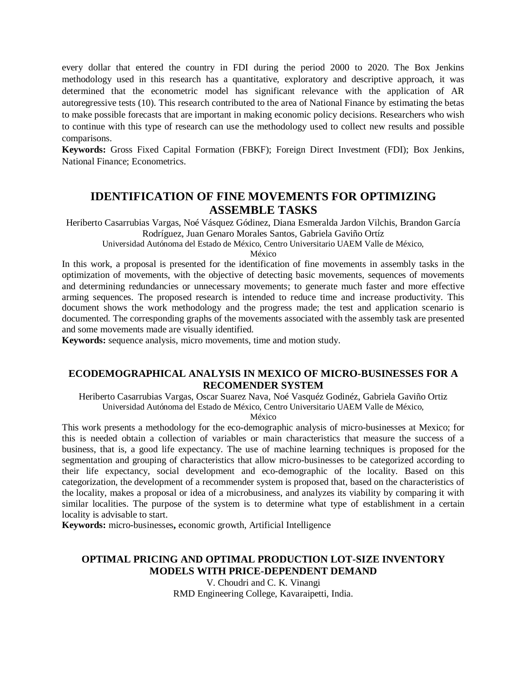every dollar that entered the country in FDI during the period 2000 to 2020. The Box Jenkins methodology used in this research has a quantitative, exploratory and descriptive approach, it was determined that the econometric model has significant relevance with the application of AR autoregressive tests (10). This research contributed to the area of National Finance by estimating the betas to make possible forecasts that are important in making economic policy decisions. Researchers who wish to continue with this type of research can use the methodology used to collect new results and possible comparisons.

**Keywords:** Gross Fixed Capital Formation (FBKF); Foreign Direct Investment (FDI); Box Jenkins, National Finance; Econometrics.

## **IDENTIFICATION OF FINE MOVEMENTS FOR OPTIMIZING ASSEMBLE TASKS**

Heriberto Casarrubias Vargas, Noé Vásquez Gódinez, Diana Esmeralda Jardon Vilchis, Brandon García Rodríguez, Juan Genaro Morales Santos, Gabriela Gaviño Ortíz

Universidad Autónoma del Estado de México, Centro Universitario UAEM Valle de México,

México

In this work, a proposal is presented for the identification of fine movements in assembly tasks in the optimization of movements, with the objective of detecting basic movements, sequences of movements and determining redundancies or unnecessary movements; to generate much faster and more effective arming sequences. The proposed research is intended to reduce time and increase productivity. This document shows the work methodology and the progress made; the test and application scenario is documented. The corresponding graphs of the movements associated with the assembly task are presented and some movements made are visually identified.

**Keywords:** sequence analysis, micro movements, time and motion study.

## **ECODEMOGRAPHICAL ANALYSIS IN MEXICO OF MICRO-BUSINESSES FOR A RECOMENDER SYSTEM**

Heriberto Casarrubias Vargas, Oscar Suarez Nava, Noé Vasquéz Godinéz, Gabriela Gaviño Ortiz Universidad Autónoma del Estado de México, Centro Universitario UAEM Valle de México,

México

This work presents a methodology for the eco-demographic analysis of micro-businesses at Mexico; for this is needed obtain a collection of variables or main characteristics that measure the success of a business, that is, a good life expectancy. The use of machine learning techniques is proposed for the segmentation and grouping of characteristics that allow micro-businesses to be categorized according to their life expectancy, social development and eco-demographic of the locality. Based on this categorization, the development of a recommender system is proposed that, based on the characteristics of the locality, makes a proposal or idea of a microbusiness, and analyzes its viability by comparing it with similar localities. The purpose of the system is to determine what type of establishment in a certain locality is advisable to start.

**Keywords:** micro-businesses**,** economic growth, Artificial Intelligence

## **OPTIMAL PRICING AND OPTIMAL PRODUCTION LOT-SIZE INVENTORY MODELS WITH PRICE-DEPENDENT DEMAND**

V. Choudri and C. K. Vinangi RMD Engineering College, Kavaraipetti, India.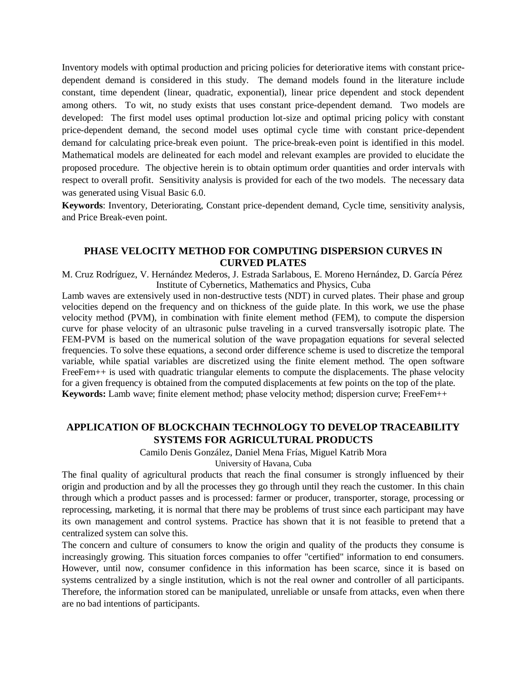Inventory models with optimal production and pricing policies for deteriorative items with constant pricedependent demand is considered in this study. The demand models found in the literature include constant, time dependent (linear, quadratic, exponential), linear price dependent and stock dependent among others. To wit, no study exists that uses constant price-dependent demand. Two models are developed: The first model uses optimal production lot-size and optimal pricing policy with constant price-dependent demand, the second model uses optimal cycle time with constant price-dependent demand for calculating price-break even poiunt. The price-break-even point is identified in this model. Mathematical models are delineated for each model and relevant examples are provided to elucidate the proposed procedure. The objective herein is to obtain optimum order quantities and order intervals with respect to overall profit. Sensitivity analysis is provided for each of the two models. The necessary data was generated using Visual Basic 6.0.

**Keywords**: Inventory, Deteriorating, Constant price-dependent demand, Cycle time, sensitivity analysis, and Price Break-even point.

## **PHASE VELOCITY METHOD FOR COMPUTING DISPERSION CURVES IN CURVED PLATES**

M. Cruz Rodríguez, V. Hernández Mederos, J. Estrada Sarlabous, E. Moreno Hernández, D. García Pérez Institute of Cybernetics, Mathematics and Physics, Cuba

Lamb waves are extensively used in non-destructive tests (NDT) in curved plates. Their phase and group velocities depend on the frequency and on thickness of the guide plate. In this work, we use the phase velocity method (PVM), in combination with finite element method (FEM), to compute the dispersion curve for phase velocity of an ultrasonic pulse traveling in a curved transversally isotropic plate. The FEM-PVM is based on the numerical solution of the wave propagation equations for several selected frequencies. To solve these equations, a second order difference scheme is used to discretize the temporal variable, while spatial variables are discretized using the finite element method. The open software FreeFem++ is used with quadratic triangular elements to compute the displacements. The phase velocity for a given frequency is obtained from the computed displacements at few points on the top of the plate. **Keywords:** Lamb wave; finite element method; phase velocity method; dispersion curve; FreeFem++

## **APPLICATION OF BLOCKCHAIN TECHNOLOGY TO DEVELOP TRACEABILITY SYSTEMS FOR AGRICULTURAL PRODUCTS**

Camilo Denis González, Daniel Mena Frías, Miguel Katrib Mora

University of Havana, Cuba

The final quality of agricultural products that reach the final consumer is strongly influenced by their origin and production and by all the processes they go through until they reach the customer. In this chain through which a product passes and is processed: farmer or producer, transporter, storage, processing or reprocessing, marketing, it is normal that there may be problems of trust since each participant may have its own management and control systems. Practice has shown that it is not feasible to pretend that a centralized system can solve this.

The concern and culture of consumers to know the origin and quality of the products they consume is increasingly growing. This situation forces companies to offer "certified" information to end consumers. However, until now, consumer confidence in this information has been scarce, since it is based on systems centralized by a single institution, which is not the real owner and controller of all participants. Therefore, the information stored can be manipulated, unreliable or unsafe from attacks, even when there are no bad intentions of participants.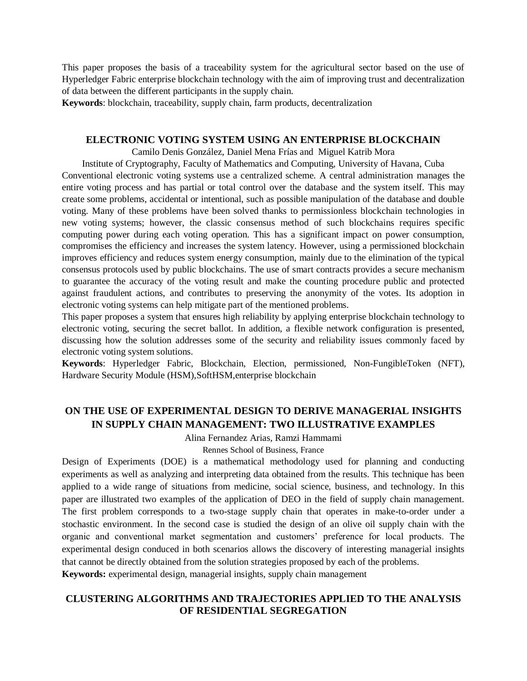This paper proposes the basis of a traceability system for the agricultural sector based on the use of Hyperledger Fabric enterprise blockchain technology with the aim of improving trust and decentralization of data between the different participants in the supply chain.

**Keywords**: blockchain, traceability, supply chain, farm products, decentralization

#### **ELECTRONIC VOTING SYSTEM USING AN ENTERPRISE BLOCKCHAIN**

Camilo Denis González, Daniel Mena Frías and Miguel Katrib Mora

Institute of Cryptography, Faculty of Mathematics and Computing, University of Havana, Cuba Conventional electronic voting systems use a centralized scheme. A central administration manages the entire voting process and has partial or total control over the database and the system itself. This may create some problems, accidental or intentional, such as possible manipulation of the database and double voting. Many of these problems have been solved thanks to permissionless blockchain technologies in new voting systems; however, the classic consensus method of such blockchains requires specific computing power during each voting operation. This has a significant impact on power consumption, compromises the efficiency and increases the system latency. However, using a permissioned blockchain improves efficiency and reduces system energy consumption, mainly due to the elimination of the typical consensus protocols used by public blockchains. The use of smart contracts provides a secure mechanism to guarantee the accuracy of the voting result and make the counting procedure public and protected against fraudulent actions, and contributes to preserving the anonymity of the votes. Its adoption in electronic voting systems can help mitigate part of the mentioned problems.

This paper proposes a system that ensures high reliability by applying enterprise blockchain technology to electronic voting, securing the secret ballot. In addition, a flexible network configuration is presented, discussing how the solution addresses some of the security and reliability issues commonly faced by electronic voting system solutions.

**Keywords**: Hyperledger Fabric, Blockchain, Election, permissioned, Non-FungibleToken (NFT), Hardware Security Module (HSM),SoftHSM,enterprise blockchain

## **ON THE USE OF EXPERIMENTAL DESIGN TO DERIVE MANAGERIAL INSIGHTS IN SUPPLY CHAIN MANAGEMENT: TWO ILLUSTRATIVE EXAMPLES**

Alina Fernandez Arias, Ramzi Hammami

Rennes School of Business, France

Design of Experiments (DOE) is a mathematical methodology used for planning and conducting experiments as well as analyzing and interpreting data obtained from the results. This technique has been applied to a wide range of situations from medicine, social science, business, and technology. In this paper are illustrated two examples of the application of DEO in the field of supply chain management. The first problem corresponds to a two-stage supply chain that operates in make-to-order under a stochastic environment. In the second case is studied the design of an olive oil supply chain with the organic and conventional market segmentation and customers' preference for local products. The experimental design conduced in both scenarios allows the discovery of interesting managerial insights that cannot be directly obtained from the solution strategies proposed by each of the problems.

**Keywords:** experimental design, managerial insights, supply chain management

## **CLUSTERING ALGORITHMS AND TRAJECTORIES APPLIED TO THE ANALYSIS OF RESIDENTIAL SEGREGATION**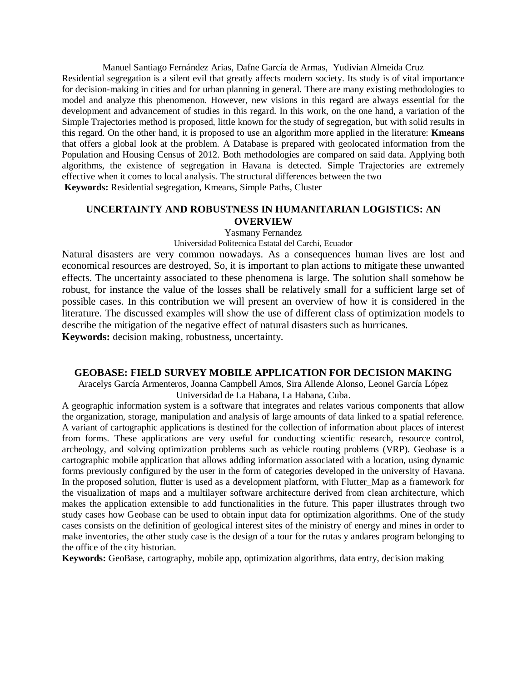Manuel Santiago Fernández Arias, Dafne García de Armas, Yudivian Almeida Cruz Residential segregation is a silent evil that greatly affects modern society. Its study is of vital importance for decision-making in cities and for urban planning in general. There are many existing methodologies to model and analyze this phenomenon. However, new visions in this regard are always essential for the development and advancement of studies in this regard. In this work, on the one hand, a variation of the Simple Trajectories method is proposed, little known for the study of segregation, but with solid results in this regard. On the other hand, it is proposed to use an algorithm more applied in the literature: **Kmeans**  that offers a global look at the problem. A Database is prepared with geolocated information from the Population and Housing Census of 2012. Both methodologies are compared on said data. Applying both algorithms, the existence of segregation in Havana is detected. Simple Trajectories are extremely effective when it comes to local analysis. The structural differences between the two **Keywords:** Residential segregation, Kmeans, Simple Paths, Cluster

## **UNCERTAINTY AND ROBUSTNESS IN HUMANITARIAN LOGISTICS: AN OVERVIEW**

#### Yasmany Fernandez

#### Universidad Politecnica Estatal del Carchi, Ecuador

Natural disasters are very common nowadays. As a consequences human lives are lost and economical resources are destroyed, So, it is important to plan actions to mitigate these unwanted effects. The uncertainty associated to these phenomena is large. The solution shall somehow be robust, for instance the value of the losses shall be relatively small for a sufficient large set of possible cases. In this contribution we will present an overview of how it is considered in the literature. The discussed examples will show the use of different class of optimization models to describe the mitigation of the negative effect of natural disasters such as hurricanes. **Keywords:** decision making, robustness, uncertainty.

#### **GEOBASE: FIELD SURVEY MOBILE APPLICATION FOR DECISION MAKING**

Aracelys García Armenteros, Joanna Campbell Amos, Sira Allende Alonso, Leonel García López Universidad de La Habana, La Habana, Cuba.

A geographic information system is a software that integrates and relates various components that allow the organization, storage, manipulation and analysis of large amounts of data linked to a spatial reference. A variant of cartographic applications is destined for the collection of information about places of interest from forms. These applications are very useful for conducting scientific research, resource control, archeology, and solving optimization problems such as vehicle routing problems (VRP). Geobase is a cartographic mobile application that allows adding information associated with a location, using dynamic forms previously configured by the user in the form of categories developed in the university of Havana. In the proposed solution, flutter is used as a development platform, with Flutter\_Map as a framework for the visualization of maps and a multilayer software architecture derived from clean architecture, which makes the application extensible to add functionalities in the future. This paper illustrates through two study cases how Geobase can be used to obtain input data for optimization algorithms. One of the study cases consists on the definition of geological interest sites of the ministry of energy and mines in order to make inventories, the other study case is the design of a tour for the rutas y andares program belonging to the office of the city historian.

**Keywords:** GeoBase, cartography, mobile app, optimization algorithms, data entry, decision making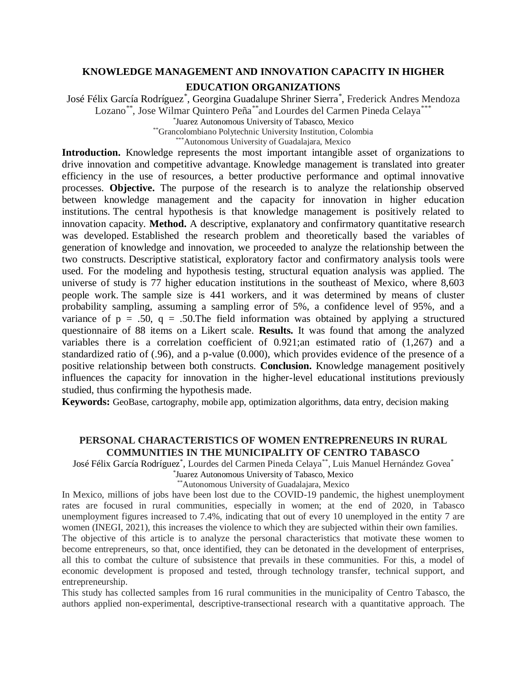## **KNOWLEDGE MANAGEMENT AND INNOVATION CAPACITY IN HIGHER EDUCATION ORGANIZATIONS**

José Félix García Rodríguez\* , Georgina Guadalupe Shriner Sierra\* , Frederick Andres Mendoza Lozano\*\*, Jose Wilmar Quintero Peña\*\*and Lourdes del Carmen Pineda Celaya\*\*\*

\* Juarez Autonomous University of Tabasco, Mexico

\*\*Grancolombiano Polytechnic University Institution, Colombia

\*\*\*Autonomous University of Guadalajara, Mexico

Introduction. Knowledge represents the most important intangible asset of organizations to drive innovation and competitive advantage. Knowledge management is translated into greater efficiency in the use of resources, a better productive performance and optimal innovative processes. **Objective.** The purpose of the research is to analyze the relationship observed between knowledge management and the capacity for innovation in higher education institutions. The central hypothesis is that knowledge management is positively related to innovation capacity. **Method.** A descriptive, explanatory and confirmatory quantitative research was developed. Established the research problem and theoretically based the variables of generation of knowledge and innovation, we proceeded to analyze the relationship between the two constructs. Descriptive statistical, exploratory factor and confirmatory analysis tools were used. For the modeling and hypothesis testing, structural equation analysis was applied. The universe of study is 77 higher education institutions in the southeast of Mexico, where 8,603 people work. The sample size is 441 workers, and it was determined by means of cluster probability sampling, assuming a sampling error of 5%, a confidence level of 95%, and a variance of  $p = .50$ ,  $q = .50$ . The field information was obtained by applying a structured questionnaire of 88 items on a Likert scale. **Results.** It was found that among the analyzed variables there is a correlation coefficient of 0.921;an estimated ratio of (1,267) and a standardized ratio of (.96), and a p-value (0.000), which provides evidence of the presence of a positive relationship between both constructs. **Conclusion.** Knowledge management positively influences the capacity for innovation in the higher-level educational institutions previously studied, thus confirming the hypothesis made.

**Keywords:** GeoBase, cartography, mobile app, optimization algorithms, data entry, decision making

## **PERSONAL CHARACTERISTICS OF WOMEN ENTREPRENEURS IN RURAL COMMUNITIES IN THE MUNICIPALITY OF CENTRO TABASCO**

José Félix García Rodríguez\* , Lourdes del Carmen Pineda Celaya\*\* , Luis Manuel Hernández Govea\*

\* Juarez Autonomous University of Tabasco, Mexico

\*\*Autonomous University of Guadalajara, Mexico

In Mexico, millions of jobs have been lost due to the COVID-19 pandemic, the highest unemployment rates are focused in rural communities, especially in women; at the end of 2020, in Tabasco unemployment figures increased to 7.4%, indicating that out of every 10 unemployed in the entity 7 are women (INEGI, 2021), this increases the violence to which they are subjected within their own families.

The objective of this article is to analyze the personal characteristics that motivate these women to become entrepreneurs, so that, once identified, they can be detonated in the development of enterprises, all this to combat the culture of subsistence that prevails in these communities. For this, a model of economic development is proposed and tested, through technology transfer, technical support, and entrepreneurship.

This study has collected samples from 16 rural communities in the municipality of Centro Tabasco, the authors applied non-experimental, descriptive-transectional research with a quantitative approach. The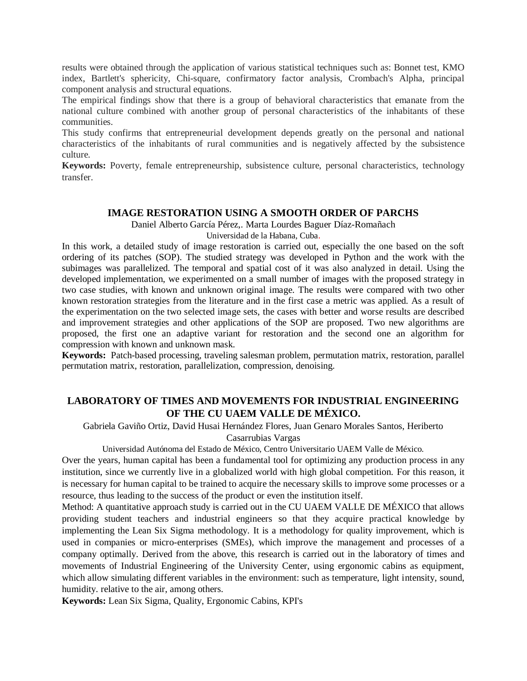results were obtained through the application of various statistical techniques such as: Bonnet test, KMO index, Bartlett's sphericity, Chi-square, confirmatory factor analysis, Crombach's Alpha, principal component analysis and structural equations.

The empirical findings show that there is a group of behavioral characteristics that emanate from the national culture combined with another group of personal characteristics of the inhabitants of these communities.

This study confirms that entrepreneurial development depends greatly on the personal and national characteristics of the inhabitants of rural communities and is negatively affected by the subsistence culture.

**Keywords:** Poverty, female entrepreneurship, subsistence culture, personal characteristics, technology transfer.

## **IMAGE RESTORATION USING A SMOOTH ORDER OF PARCHS**

Daniel Alberto García Pérez,. Marta Lourdes Baguer Díaz-Romañach

Universidad de la Habana, Cuba.

In this work, a detailed study of image restoration is carried out, especially the one based on the soft ordering of its patches (SOP). The studied strategy was developed in Python and the work with the subimages was parallelized. The temporal and spatial cost of it was also analyzed in detail. Using the developed implementation, we experimented on a small number of images with the proposed strategy in two case studies, with known and unknown original image. The results were compared with two other known restoration strategies from the literature and in the first case a metric was applied. As a result of the experimentation on the two selected image sets, the cases with better and worse results are described and improvement strategies and other applications of the SOP are proposed. Two new algorithms are proposed, the first one an adaptive variant for restoration and the second one an algorithm for compression with known and unknown mask.

**Keywords:** Patch-based processing, traveling salesman problem, permutation matrix, restoration, parallel permutation matrix, restoration, parallelization, compression, denoising.

## **LABORATORY OF TIMES AND MOVEMENTS FOR INDUSTRIAL ENGINEERING OF THE CU UAEM VALLE DE MÉXICO.**

Gabriela Gaviño Ortiz, David Husai Hernández Flores, Juan Genaro Morales Santos, Heriberto

Casarrubias Vargas

Universidad Autónoma del Estado de México, Centro Universitario UAEM Valle de México.

Over the years, human capital has been a fundamental tool for optimizing any production process in any institution, since we currently live in a globalized world with high global competition. For this reason, it is necessary for human capital to be trained to acquire the necessary skills to improve some processes or a resource, thus leading to the success of the product or even the institution itself.

Method: A quantitative approach study is carried out in the CU UAEM VALLE DE MÉXICO that allows providing student teachers and industrial engineers so that they acquire practical knowledge by implementing the Lean Six Sigma methodology. It is a methodology for quality improvement, which is used in companies or micro-enterprises (SMEs), which improve the management and processes of a company optimally. Derived from the above, this research is carried out in the laboratory of times and movements of Industrial Engineering of the University Center, using ergonomic cabins as equipment, which allow simulating different variables in the environment: such as temperature, light intensity, sound, humidity. relative to the air, among others.

**Keywords:** Lean Six Sigma, Quality, Ergonomic Cabins, KPI's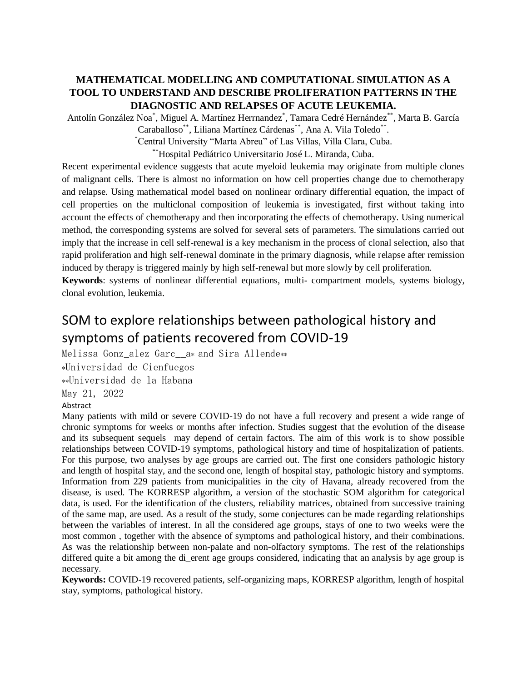## **MATHEMATICAL MODELLING AND COMPUTATIONAL SIMULATION AS A TOOL TO UNDERSTAND AND DESCRIBE PROLIFERATION PATTERNS IN THE DIAGNOSTIC AND RELAPSES OF ACUTE LEUKEMIA.**

Antolín González Noa\* , Miguel A. Martínez Herrnandez\* , Tamara Cedré Hernández\*\*, Marta B. García

Caraballoso\*\*, Liliana Martínez Cárdenas\*\*, Ana A. Vila Toledo\*\*.

\*Central University "Marta Abreu" of Las Villas, Villa Clara, Cuba.

\*\*Hospital Pediátrico Universitario José L. Miranda, Cuba.

Recent experimental evidence suggests that acute myeloid leukemia may originate from multiple clones of malignant cells. There is almost no information on how cell properties change due to chemotherapy and relapse. Using mathematical model based on nonlinear ordinary differential equation, the impact of cell properties on the multiclonal composition of leukemia is investigated, first without taking into account the effects of chemotherapy and then incorporating the effects of chemotherapy. Using numerical method, the corresponding systems are solved for several sets of parameters. The simulations carried out imply that the increase in cell self-renewal is a key mechanism in the process of clonal selection, also that rapid proliferation and high self-renewal dominate in the primary diagnosis, while relapse after remission induced by therapy is triggered mainly by high self-renewal but more slowly by cell proliferation.

**Keywords**: systems of nonlinear differential equations, multi- compartment models, systems biology, clonal evolution, leukemia.

# SOM to explore relationships between pathological history and symptoms of patients recovered from COVID-19

Melissa Gonz\_alez Garc\_\_a\* and Sira Allende\*\*

\*Universidad de Cienfuegos

\*\*Universidad de la Habana

May 21, 2022

Abstract

Many patients with mild or severe COVID-19 do not have a full recovery and present a wide range of chronic symptoms for weeks or months after infection. Studies suggest that the evolution of the disease and its subsequent sequels may depend of certain factors. The aim of this work is to show possible relationships between COVID-19 symptoms, pathological history and time of hospitalization of patients. For this purpose, two analyses by age groups are carried out. The first one considers pathologic history and length of hospital stay, and the second one, length of hospital stay, pathologic history and symptoms. Information from 229 patients from municipalities in the city of Havana, already recovered from the disease, is used. The KORRESP algorithm, a version of the stochastic SOM algorithm for categorical data, is used. For the identification of the clusters, reliability matrices, obtained from successive training of the same map, are used. As a result of the study, some conjectures can be made regarding relationships between the variables of interest. In all the considered age groups, stays of one to two weeks were the most common , together with the absence of symptoms and pathological history, and their combinations. As was the relationship between non-palate and non-olfactory symptoms. The rest of the relationships differed quite a bit among the di\_erent age groups considered, indicating that an analysis by age group is necessary.

**Keywords:** COVID-19 recovered patients, self-organizing maps, KORRESP algorithm, length of hospital stay, symptoms, pathological history.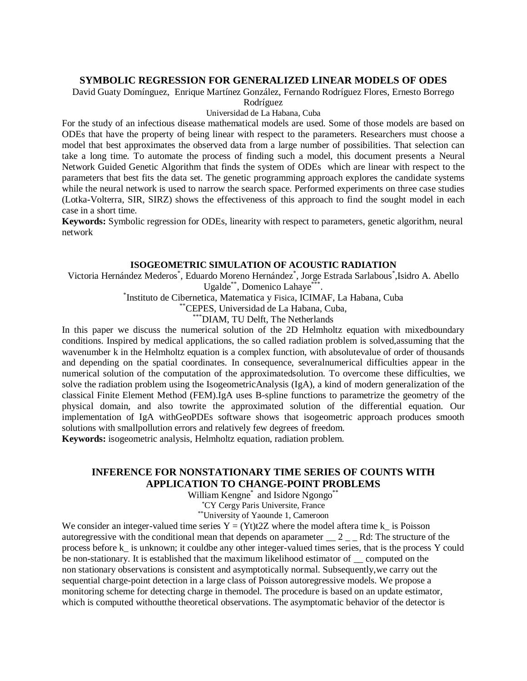## **SYMBOLIC REGRESSION FOR GENERALIZED LINEAR MODELS OF ODES**

David Guaty Domínguez, Enrique Martínez González, Fernando Rodríguez Flores, Ernesto Borrego

Rodríguez

#### Universidad de La Habana, Cuba

For the study of an infectious disease mathematical models are used. Some of those models are based on ODEs that have the property of being linear with respect to the parameters. Researchers must choose a model that best approximates the observed data from a large number of possibilities. That selection can take a long time. To automate the process of finding such a model, this document presents a Neural Network Guided Genetic Algorithm that finds the system of ODEs which are linear with respect to the parameters that best fits the data set. The genetic programming approach explores the candidate systems while the neural network is used to narrow the search space. Performed experiments on three case studies (Lotka-Volterra, SIR, SIRZ) shows the effectiveness of this approach to find the sought model in each case in a short time.

**Keywords:** Symbolic regression for ODEs, linearity with respect to parameters, genetic algorithm, neural network

#### **ISOGEOMETRIC SIMULATION OF ACOUSTIC RADIATION**

Victoria Hernández Mederos\* , Eduardo Moreno Hernández\* , Jorge Estrada Sarlabous\* ,Isidro A. Abello Ugalde\*\*, Domenico Lahaye\*\*\*.

\* Instituto de Cibernetica, Matematica y Fisica, ICIMAF, La Habana, Cuba

\*\*CEPES, Universidad de La Habana, Cuba,

\*\*\*DIAM, TU Delft, The Netherlands

In this paper we discuss the numerical solution of the 2D Helmholtz equation with mixedboundary conditions. Inspired by medical applications, the so called radiation problem is solved,assuming that the wavenumber k in the Helmholtz equation is a complex function, with absolutevalue of order of thousands and depending on the spatial coordinates. In consequence, severalnumerical difficulties appear in the numerical solution of the computation of the approximatedsolution. To overcome these difficulties, we solve the radiation problem using the IsogeometricAnalysis (IgA), a kind of modern generalization of the classical Finite Element Method (FEM).IgA uses B-spline functions to parametrize the geometry of the physical domain, and also towrite the approximated solution of the differential equation. Our implementation of IgA withGeoPDEs software shows that isogeometric approach produces smooth solutions with smallpollution errors and relatively few degrees of freedom.

**Keywords:** isogeometric analysis, Helmholtz equation, radiation problem.

## **INFERENCE FOR NONSTATIONARY TIME SERIES OF COUNTS WITH APPLICATION TO CHANGE-POINT PROBLEMS**

William Kengne\* and Isidore Ngongo\*\*

\*CY Cergy Paris Universite, France

\*\*University of Yaounde 1, Cameroon

We consider an integer-valued time series  $Y = (Yt)t2Z$  where the model aftera time k is Poisson autoregressive with the conditional mean that depends on aparameter  $\_ 2 \_ R$ d: The structure of the process before k\_ is unknown; it couldbe any other integer-valued times series, that is the process Y could be non-stationary. It is established that the maximum likelihood estimator of  $\_\_$  computed on the non stationary observations is consistent and asymptotically normal. Subsequently,we carry out the sequential charge-point detection in a large class of Poisson autoregressive models. We propose a monitoring scheme for detecting charge in themodel. The procedure is based on an update estimator, which is computed withoutthe theoretical observations. The asymptomatic behavior of the detector is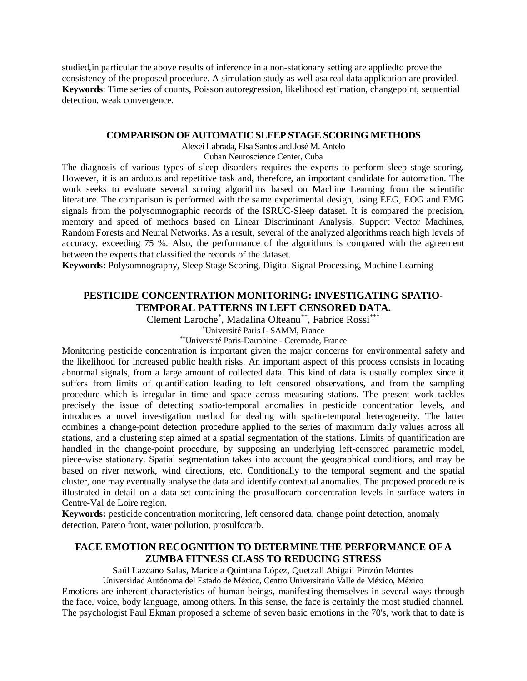studied,in particular the above results of inference in a non-stationary setting are appliedto prove the consistency of the proposed procedure. A simulation study as well asa real data application are provided. **Keywords**: Time series of counts, Poisson autoregression, likelihood estimation, changepoint, sequential detection, weak convergence.

#### **COMPARISON OF AUTOMATIC SLEEP STAGE SCORING METHODS**

Alexei Labrada, Elsa Santos and José M. Antelo

#### Cuban Neuroscience Center, Cuba

The diagnosis of various types of sleep disorders requires the experts to perform sleep stage scoring. However, it is an arduous and repetitive task and, therefore, an important candidate for automation. The work seeks to evaluate several scoring algorithms based on Machine Learning from the scientific literature. The comparison is performed with the same experimental design, using EEG, EOG and EMG signals from the polysomnographic records of the ISRUC-Sleep dataset. It is compared the precision, memory and speed of methods based on Linear Discriminant Analysis, Support Vector Machines, Random Forests and Neural Networks. As a result, several of the analyzed algorithms reach high levels of accuracy, exceeding 75 %. Also, the performance of the algorithms is compared with the agreement between the experts that classified the records of the dataset.

**Keywords:** Polysomnography, Sleep Stage Scoring, Digital Signal Processing, Machine Learning

## **PESTICIDE CONCENTRATION MONITORING: INVESTIGATING SPATIO-TEMPORAL PATTERNS IN LEFT CENSORED DATA.**

Clement Laroche\* , Madalina Olteanu\*\* , Fabrice Rossi\*\*\*

\*Université Paris I- SAMM, France

\*\*Université Paris-Dauphine - Ceremade, France

Monitoring pesticide concentration is important given the major concerns for environmental safety and the likelihood for increased public health risks. An important aspect of this process consists in locating abnormal signals, from a large amount of collected data. This kind of data is usually complex since it suffers from limits of quantification leading to left censored observations, and from the sampling procedure which is irregular in time and space across measuring stations. The present work tackles precisely the issue of detecting spatio-temporal anomalies in pesticide concentration levels, and introduces a novel investigation method for dealing with spatio-temporal heterogeneity. The latter combines a change-point detection procedure applied to the series of maximum daily values across all stations, and a clustering step aimed at a spatial segmentation of the stations. Limits of quantification are handled in the change-point procedure, by supposing an underlying left-censored parametric model, piece-wise stationary. Spatial segmentation takes into account the geographical conditions, and may be based on river network, wind directions, etc. Conditionally to the temporal segment and the spatial cluster, one may eventually analyse the data and identify contextual anomalies. The proposed procedure is illustrated in detail on a data set containing the prosulfocarb concentration levels in surface waters in Centre-Val de Loire region.

**Keywords:** pesticide concentration monitoring, left censored data, change point detection, anomaly detection, Pareto front, water pollution, prosulfocarb.

## **FACE EMOTION RECOGNITION TO DETERMINE THE PERFORMANCE OF A ZUMBA FITNESS CLASS TO REDUCING STRESS**

Saúl Lazcano Salas, Maricela Quintana López, Quetzall Abigail Pinzón Montes

Universidad Autónoma del Estado de México, Centro Universitario Valle de México, México Emotions are inherent characteristics of human beings, manifesting themselves in several ways through the face, voice, body language, among others. In this sense, the face is certainly the most studied channel. The psychologist Paul Ekman proposed a scheme of seven basic emotions in the 70's, work that to date is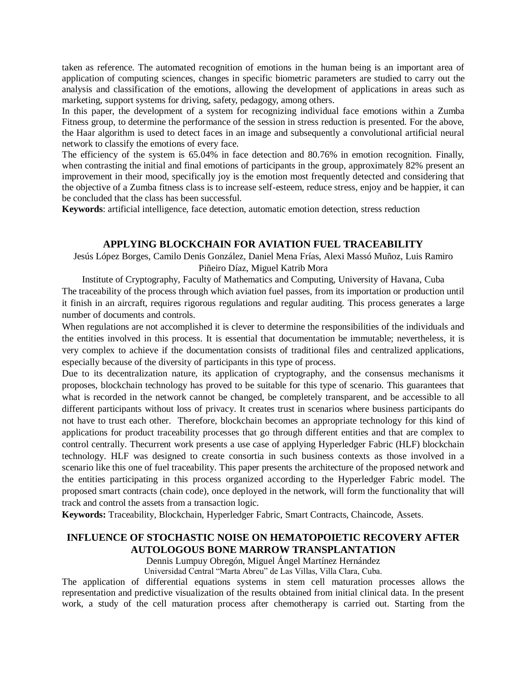taken as reference. The automated recognition of emotions in the human being is an important area of application of computing sciences, changes in specific biometric parameters are studied to carry out the analysis and classification of the emotions, allowing the development of applications in areas such as marketing, support systems for driving, safety, pedagogy, among others.

In this paper, the development of a system for recognizing individual face emotions within a Zumba Fitness group, to determine the performance of the session in stress reduction is presented. For the above, the Haar algorithm is used to detect faces in an image and subsequently a convolutional artificial neural network to classify the emotions of every face.

The efficiency of the system is 65.04% in face detection and 80.76% in emotion recognition. Finally, when contrasting the initial and final emotions of participants in the group, approximately 82% present an improvement in their mood, specifically joy is the emotion most frequently detected and considering that the objective of a Zumba fitness class is to increase self-esteem, reduce stress, enjoy and be happier, it can be concluded that the class has been successful.

**Keywords**: artificial intelligence, face detection, automatic emotion detection, stress reduction

#### **APPLYING BLOCKCHAIN FOR AVIATION FUEL TRACEABILITY**

Jesús López Borges, Camilo Denis González, Daniel Mena Frías, Alexi Massó Muñoz, Luis Ramiro

#### Piñeiro Díaz, Miguel Katrib Mora

Institute of Cryptography, Faculty of Mathematics and Computing, University of Havana, Cuba The traceability of the process through which aviation fuel passes, from its importation or production until it finish in an aircraft, requires rigorous regulations and regular auditing. This process generates a large number of documents and controls.

When regulations are not accomplished it is clever to determine the responsibilities of the individuals and the entities involved in this process. It is essential that documentation be immutable; nevertheless, it is very complex to achieve if the documentation consists of traditional files and centralized applications, especially because of the diversity of participants in this type of process.

Due to its decentralization nature, its application of cryptography, and the consensus mechanisms it proposes, blockchain technology has proved to be suitable for this type of scenario. This guarantees that what is recorded in the network cannot be changed, be completely transparent, and be accessible to all different participants without loss of privacy. It creates trust in scenarios where business participants do not have to trust each other. Therefore, blockchain becomes an appropriate technology for this kind of applications for product traceability processes that go through different entities and that are complex to control centrally. Thecurrent work presents a use case of applying Hyperledger Fabric (HLF) blockchain technology. HLF was designed to create consortia in such business contexts as those involved in a scenario like this one of fuel traceability. This paper presents the architecture of the proposed network and the entities participating in this process organized according to the Hyperledger Fabric model. The proposed smart contracts (chain code), once deployed in the network, will form the functionality that will track and control the assets from a transaction logic.

**Keywords:** Traceability, Blockchain, Hyperledger Fabric, Smart Contracts, Chaincode, Assets.

## **INFLUENCE OF STOCHASTIC NOISE ON HEMATOPOIETIC RECOVERY AFTER AUTOLOGOUS BONE MARROW TRANSPLANTATION**

Dennis Lumpuy Obregón, Miguel Ángel Martínez Hernández

Universidad Central "Marta Abreu" de Las Villas, Villa Clara, Cuba.

The application of differential equations systems in stem cell maturation processes allows the representation and predictive visualization of the results obtained from initial clinical data. In the present work, a study of the cell maturation process after chemotherapy is carried out. Starting from the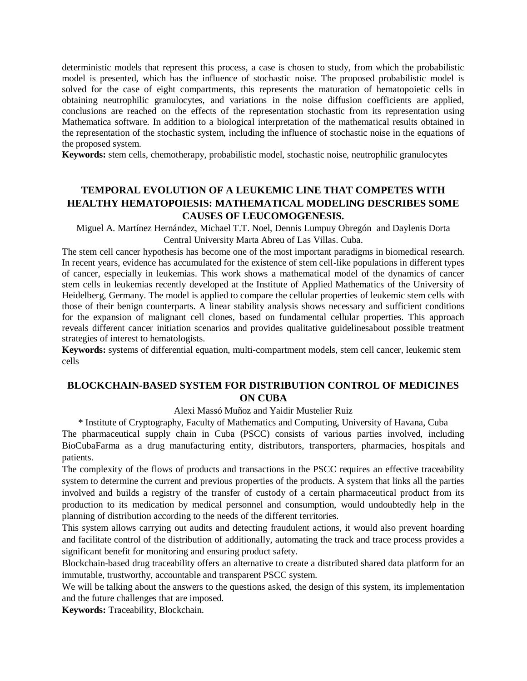deterministic models that represent this process, a case is chosen to study, from which the probabilistic model is presented, which has the influence of stochastic noise. The proposed probabilistic model is solved for the case of eight compartments, this represents the maturation of hematopoietic cells in obtaining neutrophilic granulocytes, and variations in the noise diffusion coefficients are applied, conclusions are reached on the effects of the representation stochastic from its representation using Mathematica software. In addition to a biological interpretation of the mathematical results obtained in the representation of the stochastic system, including the influence of stochastic noise in the equations of the proposed system.

**Keywords:** stem cells, chemotherapy, probabilistic model, stochastic noise, neutrophilic granulocytes

## **TEMPORAL EVOLUTION OF A LEUKEMIC LINE THAT COMPETES WITH HEALTHY HEMATOPOIESIS: MATHEMATICAL MODELING DESCRIBES SOME CAUSES OF LEUCOMOGENESIS.**

Miguel A. Martínez Hernández, Michael T.T. Noel, Dennis Lumpuy Obregón and Daylenis Dorta Central University Marta Abreu of Las Villas. Cuba.

The stem cell cancer hypothesis has become one of the most important paradigms in biomedical research. In recent years, evidence has accumulated for the existence of stem cell-like populations in different types of cancer, especially in leukemias. This work shows a mathematical model of the dynamics of cancer stem cells in leukemias recently developed at the Institute of Applied Mathematics of the University of Heidelberg, Germany. The model is applied to compare the cellular properties of leukemic stem cells with those of their benign counterparts. A linear stability analysis shows necessary and sufficient conditions for the expansion of malignant cell clones, based on fundamental cellular properties. This approach reveals different cancer initiation scenarios and provides qualitative guidelinesabout possible treatment strategies of interest to hematologists.

**Keywords:** systems of differential equation, multi-compartment models, stem cell cancer, leukemic stem cells

## **BLOCKCHAIN-BASED SYSTEM FOR DISTRIBUTION CONTROL OF MEDICINES ON CUBA**

Alexi Massó Muñoz and Yaidir Mustelier Ruiz

\* Institute of Cryptography, Faculty of Mathematics and Computing, University of Havana, Cuba

The pharmaceutical supply chain in Cuba (PSCC) consists of various parties involved, including BioCubaFarma as a drug manufacturing entity, distributors, transporters, pharmacies, hospitals and patients.

The complexity of the flows of products and transactions in the PSCC requires an effective traceability system to determine the current and previous properties of the products. A system that links all the parties involved and builds a registry of the transfer of custody of a certain pharmaceutical product from its production to its medication by medical personnel and consumption, would undoubtedly help in the planning of distribution according to the needs of the different territories.

This system allows carrying out audits and detecting fraudulent actions, it would also prevent hoarding and facilitate control of the distribution of additionally, automating the track and trace process provides a significant benefit for monitoring and ensuring product safety.

Blockchain-based drug traceability offers an alternative to create a distributed shared data platform for an immutable, trustworthy, accountable and transparent PSCC system.

We will be talking about the answers to the questions asked, the design of this system, its implementation and the future challenges that are imposed.

**Keywords:** Traceability, Blockchain.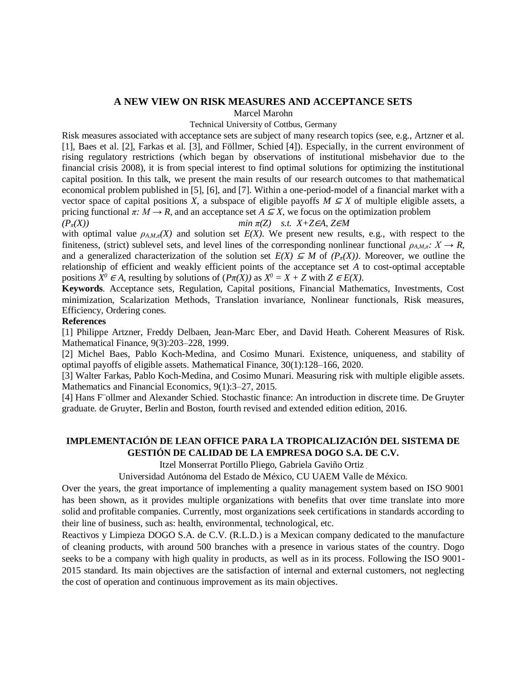#### **A NEW VIEW ON RISK MEASURES AND ACCEPTANCE SETS**

Marcel Marohn

#### Technical University of Cottbus, Germany

Risk measures associated with acceptance sets are subject of many research topics (see, e.g., Artzner et al. [1], Baes et al. [2], Farkas et al. [3], and Föllmer, Schied [4]). Especially, in the current environment of rising regulatory restrictions (which began by observations of institutional misbehavior due to the financial crisis 2008), it is from special interest to find optimal solutions for optimizing the institutional capital position. In this talk, we present the main results of our research outcomes to that mathematical economical problem published in [5], [6], and [7]. Within a one-period-model of a financial market with a vector space of capital positions *X*, a subspace of eligible payoffs  $M \subseteq X$  of multiple eligible assets, a pricing functional  $\pi: M \to R$ , and an acceptance set  $A \subseteq X$ , we focus on the optimization problem *(Pπ(X)) min π(Z) s.t. X+Z*∈*A, Z*∈*M*

with optimal value  $\rho_{A,M,\pi}(X)$  and solution set  $E(X)$ . We present new results, e.g., with respect to the finiteness, (strict) sublevel sets, and level lines of the corresponding nonlinear functional  $\rho_{A,M,\pi}$ *: X*  $\rightarrow$  *R*, and a generalized characterization of the solution set  $E(X) \subseteq M$  of  $(P_{\pi}(X))$ . Moreover, we outline the relationship of efficient and weakly efficient points of the acceptance set *A* to cost-optimal acceptable positions  $X^0 \in A$ , resulting by solutions of  $(P\pi(X))$  as  $X^0 = X + Z$  with  $Z \in E(X)$ .

**Keywords***.* Acceptance sets, Regulation, Capital positions, Financial Mathematics, Investments, Cost minimization, Scalarization Methods, Translation invariance, Nonlinear functionals, Risk measures, Efficiency, Ordering cones.

#### **References**

[1] Philippe Artzner, Freddy Delbaen, Jean-Marc Eber, and David Heath. Coherent Measures of Risk. Mathematical Finance, 9(3):203–228, 1999.

[2] Michel Baes, Pablo Koch-Medina, and Cosimo Munari. Existence, uniqueness, and stability of optimal payoffs of eligible assets. Mathematical Finance, 30(1):128–166, 2020.

[3] Walter Farkas, Pablo Koch-Medina, and Cosimo Munari. Measuring risk with multiple eligible assets. Mathematics and Financial Economics, 9(1):3–27, 2015.

[4] Hans F¨ollmer and Alexander Schied. Stochastic finance: An introduction in discrete time. De Gruyter graduate. de Gruyter, Berlin and Boston, fourth revised and extended edition edition, 2016.

## **IMPLEMENTACIÓN DE LEAN OFFICE PARA LA TROPICALIZACIÓN DEL SISTEMA DE GESTIÓN DE CALIDAD DE LA EMPRESA DOGO S.A. DE C.V.**

Itzel Monserrat Portillo Pliego, Gabriela Gaviño Ortiz .

Universidad Autónoma del Estado de México, CU UAEM Valle de México.

Over the years, the great importance of implementing a quality management system based on ISO 9001 has been shown, as it provides multiple organizations with benefits that over time translate into more solid and profitable companies. Currently, most organizations seek certifications in standards according to their line of business, such as: health, environmental, technological, etc.

Reactivos y Limpieza DOGO S.A. de C.V. (R.L.D.) is a Mexican company dedicated to the manufacture of cleaning products, with around 500 branches with a presence in various states of the country. Dogo seeks to be a company with high quality in products, as well as in its process. Following the ISO 9001- 2015 standard. Its main objectives are the satisfaction of internal and external customers, not neglecting the cost of operation and continuous improvement as its main objectives.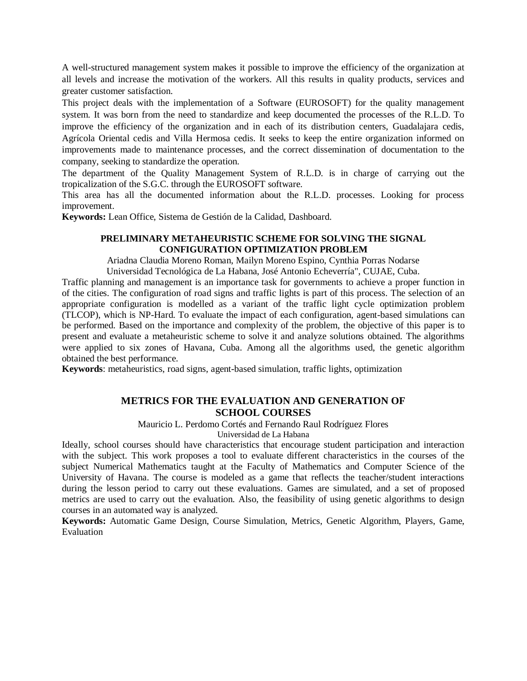A well-structured management system makes it possible to improve the efficiency of the organization at all levels and increase the motivation of the workers. All this results in quality products, services and greater customer satisfaction.

This project deals with the implementation of a Software (EUROSOFT) for the quality management system. It was born from the need to standardize and keep documented the processes of the R.L.D. To improve the efficiency of the organization and in each of its distribution centers, Guadalajara cedis, Agrícola Oriental cedis and Villa Hermosa cedis. It seeks to keep the entire organization informed on improvements made to maintenance processes, and the correct dissemination of documentation to the company, seeking to standardize the operation.

The department of the Quality Management System of R.L.D. is in charge of carrying out the tropicalization of the S.G.C. through the EUROSOFT software.

This area has all the documented information about the R.L.D. processes. Looking for process improvement.

**Keywords:** Lean Office, Sistema de Gestión de la Calidad, Dashboard.

#### **PRELIMINARY METAHEURISTIC SCHEME FOR SOLVING THE SIGNAL CONFIGURATION OPTIMIZATION PROBLEM**

Ariadna Claudia Moreno Roman, Mailyn Moreno Espino, Cynthia Porras Nodarse

Universidad Tecnológica de La Habana, José Antonio Echeverría", CUJAE, Cuba.

Traffic planning and management is an importance task for governments to achieve a proper function in of the cities. The configuration of road signs and traffic lights is part of this process. The selection of an appropriate configuration is modelled as a variant of the traffic light cycle optimization problem (TLCOP), which is NP-Hard. To evaluate the impact of each configuration, agent-based simulations can be performed. Based on the importance and complexity of the problem, the objective of this paper is to present and evaluate a metaheuristic scheme to solve it and analyze solutions obtained. The algorithms were applied to six zones of Havana, Cuba. Among all the algorithms used, the genetic algorithm obtained the best performance.

**Keywords**: metaheuristics, road signs, agent-based simulation, traffic lights, optimization

#### **METRICS FOR THE EVALUATION AND GENERATION OF SCHOOL COURSES**

Mauricio L. Perdomo Cortés and Fernando Raul Rodríguez Flores

Universidad de La Habana

Ideally, school courses should have characteristics that encourage student participation and interaction with the subject. This work proposes a tool to evaluate different characteristics in the courses of the subject Numerical Mathematics taught at the Faculty of Mathematics and Computer Science of the University of Havana. The course is modeled as a game that reflects the teacher/student interactions during the lesson period to carry out these evaluations. Games are simulated, and a set of proposed metrics are used to carry out the evaluation. Also, the feasibility of using genetic algorithms to design courses in an automated way is analyzed.

**Keywords:** Automatic Game Design, Course Simulation, Metrics, Genetic Algorithm, Players, Game, Evaluation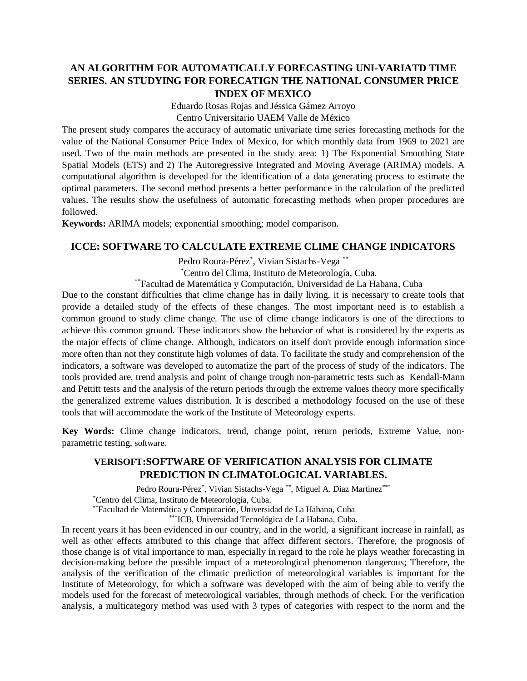## **AN ALGORITHM FOR AUTOMATICALLY FORECASTING UNI-VARIATD TIME SERIES. AN STUDYING FOR FORECATIGN THE NATIONAL CONSUMER PRICE INDEX OF MEXICO**

Eduardo Rosas Rojas and Jéssica Gámez Arroyo

Centro Universitario UAEM Valle de México

The present study compares the accuracy of automatic univariate time series forecasting methods for the value of the National Consumer Price Index of Mexico, for which monthly data from 1969 to 2021 are used. Two of the main methods are presented in the study area: 1) The Exponential Smoothing State Spatial Models (ETS) and 2) The Autoregressive Integrated and Moving Average (ARIMA) models. A computational algorithm is developed for the identification of a data generating process to estimate the optimal parameters. The second method presents a better performance in the calculation of the predicted values. The results show the usefulness of automatic forecasting methods when proper procedures are followed.

**Keywords:** ARIMA models; exponential smoothing; model comparison.

#### **ICCE: SOFTWARE TO CALCULATE EXTREME CLIME CHANGE INDICATORS**

Pedro Roura-Pérez<sup>\*</sup>, Vivian Sistachs-Vega<sup>\*\*</sup>

\*Centro del Clima, Instituto de Meteorología, Cuba.

\*\*Facultad de Matemática y Computación, Universidad de La Habana, Cuba

Due to the constant difficulties that clime change has in daily living, it is necessary to create tools that provide a detailed study of the effects of these changes. The most important need is to establish a common ground to study clime change. The use of clime change indicators is one of the directions to achieve this common ground. These indicators show the behavior of what is considered by the experts as the major effects of clime change. Although, indicators on itself don't provide enough information since more often than not they constitute high volumes of data. To facilitate the study and comprehension of the indicators, a software was developed to automatize the part of the process of study of the indicators. The tools provided are, trend analysis and point of change trough non-parametric tests such as Kendall-Mann and Pettitt tests and the analysis of the return periods through the extreme values theory more specifically the generalized extreme values distribution. It is described a methodology focused on the use of these tools that will accommodate the work of the Institute of Meteorology experts.

**Key Words:** Clime change indicators, trend, change point, return periods, Extreme Value, nonparametric testing, software.

## **VERISOFT:SOFTWARE OF VERIFICATION ANALYSIS FOR CLIMATE PREDICTION IN CLIMATOLOGICAL VARIABLES.**

Pedro Roura-Pérez<sup>\*</sup>, Vivian Sistachs-Vega<sup>\*\*</sup>, Miguel A. Diaz Martínez<sup>\*\*\*</sup> \*Centro del Clima, Instituto de Meteorología, Cuba.

\*\*Facultad de Matemática y Computación, Universidad de La Habana, Cuba

\*\*\*ICB, Universidad Tecnológica de La Habana, Cuba.

In recent years it has been evidenced in our country, and in the world, a significant increase in rainfall, as well as other effects attributed to this change that affect different sectors. Therefore, the prognosis of those change is of vital importance to man, especially in regard to the role he plays weather forecasting in decision-making before the possible impact of a meteorological phenomenon dangerous; Therefore, the analysis of the verification of the climatic prediction of meteorological variables is important for the Institute of Meteorology, for which a software was developed with the aim of being able to verify the models used for the forecast of meteorological variables, through methods of check. For the verification analysis, a multicategory method was used with 3 types of categories with respect to the norm and the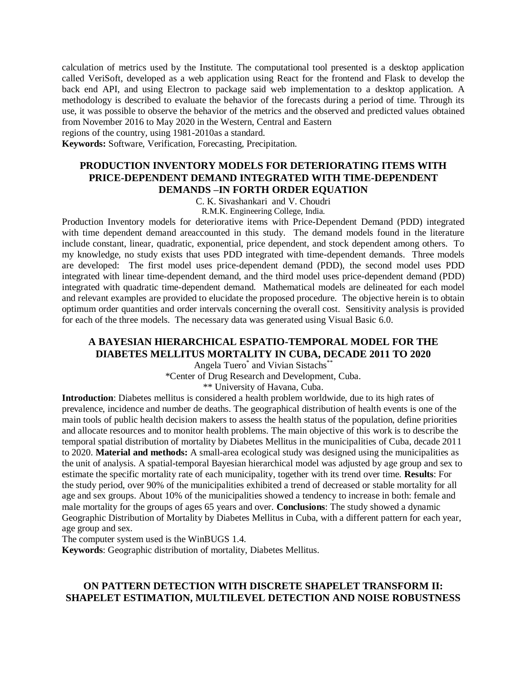calculation of metrics used by the Institute. The computational tool presented is a desktop application called VeriSoft, developed as a web application using React for the frontend and Flask to develop the back end API, and using Electron to package said web implementation to a desktop application. A methodology is described to evaluate the behavior of the forecasts during a period of time. Through its use, it was possible to observe the behavior of the metrics and the observed and predicted values obtained from November 2016 to May 2020 in the Western, Central and Eastern

regions of the country, using 1981-2010as a standard.

**Keywords:** Software, Verification, Forecasting, Precipitation.

## **PRODUCTION INVENTORY MODELS FOR DETERIORATING ITEMS WITH PRICE-DEPENDENT DEMAND INTEGRATED WITH TIME-DEPENDENT DEMANDS –IN FORTH ORDER EQUATION**

C. K. Sivashankari and V. Choudri

R.M.K. Engineering College, India.

Production Inventory models for deteriorative items with Price-Dependent Demand (PDD) integrated with time dependent demand areaccounted in this study. The demand models found in the literature include constant, linear, quadratic, exponential, price dependent, and stock dependent among others. To my knowledge, no study exists that uses PDD integrated with time-dependent demands. Three models are developed: The first model uses price-dependent demand (PDD), the second model uses PDD integrated with linear time-dependent demand, and the third model uses price-dependent demand (PDD) integrated with quadratic time-dependent demand. Mathematical models are delineated for each model and relevant examples are provided to elucidate the proposed procedure. The objective herein is to obtain optimum order quantities and order intervals concerning the overall cost. Sensitivity analysis is provided for each of the three models. The necessary data was generated using Visual Basic 6.0.

#### **A BAYESIAN HIERARCHICAL ESPATIO-TEMPORAL MODEL FOR THE DIABETES MELLITUS MORTALITY IN CUBA, DECADE 2011 TO 2020**

Angela Tuero\* and Vivian Sistachs\*\*

\*Center of Drug Research and Development, Cuba.

\*\* University of Havana, Cuba.

**Introduction**: Diabetes mellitus is considered a health problem worldwide, due to its high rates of prevalence, incidence and number de deaths. The geographical distribution of health events is one of the main tools of public health decision makers to assess the health status of the population, define priorities and allocate resources and to monitor health problems. The main objective of this work is to describe the temporal spatial distribution of mortality by Diabetes Mellitus in the municipalities of Cuba, decade 2011 to 2020. **Material and methods:** A small-area ecological study was designed using the municipalities as the unit of analysis. A spatial-temporal Bayesian hierarchical model was adjusted by age group and sex to estimate the specific mortality rate of each municipality, together with its trend over time. **Results**: For the study period, over 90% of the municipalities exhibited a trend of decreased or stable mortality for all age and sex groups. About 10% of the municipalities showed a tendency to increase in both: female and male mortality for the groups of ages 65 years and over. **Conclusions**: The study showed a dynamic Geographic Distribution of Mortality by Diabetes Mellitus in Cuba, with a different pattern for each year, age group and sex.

The computer system used is the WinBUGS 1.4.

**Keywords**: Geographic distribution of mortality, Diabetes Mellitus.

#### **ON PATTERN DETECTION WITH DISCRETE SHAPELET TRANSFORM II: SHAPELET ESTIMATION, MULTILEVEL DETECTION AND NOISE ROBUSTNESS**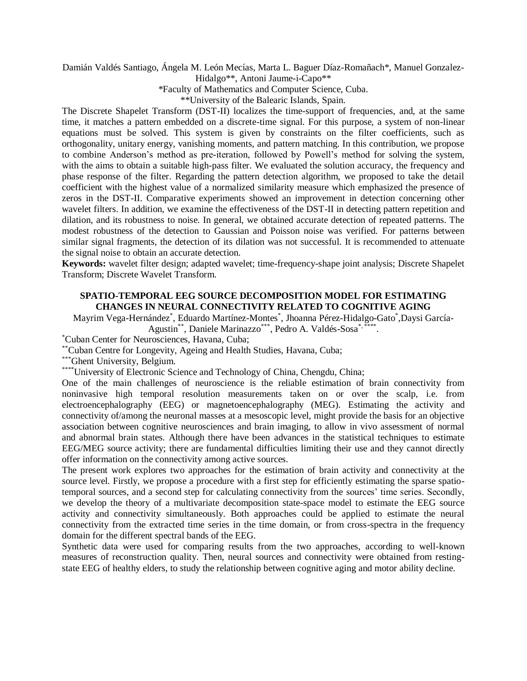Damián Valdés Santiago, Ángela M. León Mecías, Marta L. Baguer Díaz-Romañach\*, Manuel Gonzalez-Hidalgo\*\*, Antoni Jaume-i-Capo\*\*

\*Faculty of Mathematics and Computer Science, Cuba.

\*\*University of the Balearic Islands, Spain.

The Discrete Shapelet Transform (DST-II) localizes the time-support of frequencies, and, at the same time, it matches a pattern embedded on a discrete-time signal. For this purpose, a system of non-linear equations must be solved. This system is given by constraints on the filter coefficients, such as orthogonality, unitary energy, vanishing moments, and pattern matching. In this contribution, we propose to combine Anderson's method as pre-iteration, followed by Powell's method for solving the system, with the aims to obtain a suitable high-pass filter. We evaluated the solution accuracy, the frequency and phase response of the filter. Regarding the pattern detection algorithm, we proposed to take the detail coefficient with the highest value of a normalized similarity measure which emphasized the presence of zeros in the DST-II. Comparative experiments showed an improvement in detection concerning other wavelet filters. In addition, we examine the effectiveness of the DST-II in detecting pattern repetition and dilation, and its robustness to noise. In general, we obtained accurate detection of repeated patterns. The modest robustness of the detection to Gaussian and Poisson noise was verified. For patterns between similar signal fragments, the detection of its dilation was not successful. It is recommended to attenuate the signal noise to obtain an accurate detection.

**Keywords:** wavelet filter design; adapted wavelet; time-frequency-shape joint analysis; Discrete Shapelet Transform; Discrete Wavelet Transform.

#### **SPATIO-TEMPORAL EEG SOURCE DECOMPOSITION MODEL FOR ESTIMATING CHANGES IN NEURAL CONNECTIVITY RELATED TO COGNITIVE AGING**

Mayrim Vega-Hernández\* , Eduardo Martínez-Montes\* , Jhoanna Pérez-Hidalgo-Gato\* ,Daysi García-

Agustin\*\*, Daniele Marinazzo\*\*\*, Pedro A. Valdés-Sosa\*,\*\*\*\*\*.

\*Cuban Center for Neurosciences, Havana, Cuba;

\*\*Cuban Centre for Longevity, Ageing and Health Studies, Havana, Cuba;

\*\*\* Ghent University, Belgium.

\*\*\*\*\*University of Electronic Science and Technology of China, Chengdu, China;

One of the main challenges of neuroscience is the reliable estimation of brain connectivity from noninvasive high temporal resolution measurements taken on or over the scalp, i.e. from electroencephalography (EEG) or magnetoencephalography (MEG). Estimating the activity and connectivity of/among the neuronal masses at a mesoscopic level, might provide the basis for an objective association between cognitive neurosciences and brain imaging, to allow in vivo assessment of normal and abnormal brain states. Although there have been advances in the statistical techniques to estimate EEG/MEG source activity; there are fundamental difficulties limiting their use and they cannot directly offer information on the connectivity among active sources.

The present work explores two approaches for the estimation of brain activity and connectivity at the source level. Firstly, we propose a procedure with a first step for efficiently estimating the sparse spatiotemporal sources, and a second step for calculating connectivity from the sources' time series. Secondly, we develop the theory of a multivariate decomposition state-space model to estimate the EEG source activity and connectivity simultaneously. Both approaches could be applied to estimate the neural connectivity from the extracted time series in the time domain, or from cross-spectra in the frequency domain for the different spectral bands of the EEG.

Synthetic data were used for comparing results from the two approaches, according to well-known measures of reconstruction quality. Then, neural sources and connectivity were obtained from restingstate EEG of healthy elders, to study the relationship between cognitive aging and motor ability decline.